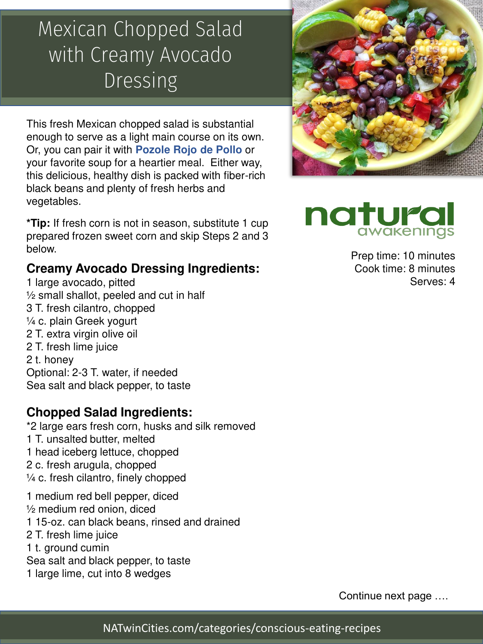## Mexican Chopped Salad with Creamy Avocado Dressing

This fresh Mexican chopped salad is substantial enough to serve as a light main course on its own. Or, you can pair it with **Pozole Rojo de Pollo** or your favorite soup for a heartier meal. Either way, this delicious, healthy dish is packed with fiber-rich black beans and plenty of fresh herbs and vegetables.

**\*Tip:** If fresh corn is not in season, substitute 1 cup prepared frozen sweet corn and skip Steps 2 and 3 below.

### **Creamy Avocado Dressing Ingredients:**

1 large avocado, pitted ½ small shallot, peeled and cut in half 3 T. fresh cilantro, chopped ¼ c. plain Greek yogurt 2 T. extra virgin olive oil 2 T. fresh lime juice 2 t. honey Optional: 2-3 T. water, if needed Sea salt and black pepper, to taste

#### **Chopped Salad Ingredients:**

\*2 large ears fresh corn, husks and silk removed 1 T. unsalted butter, melted 1 head iceberg lettuce, chopped 2 c. fresh arugula, chopped ¼ c. fresh cilantro, finely chopped

1 medium red bell pepper, diced ½ medium red onion, diced 1 15-oz. can black beans, rinsed and drained 2 T. fresh lime juice 1 t. ground cumin Sea salt and black pepper, to taste

1 large lime, cut into 8 wedges





Prep time: 10 minutes Cook time: 8 minutes Serves: 4

Continue next page ….